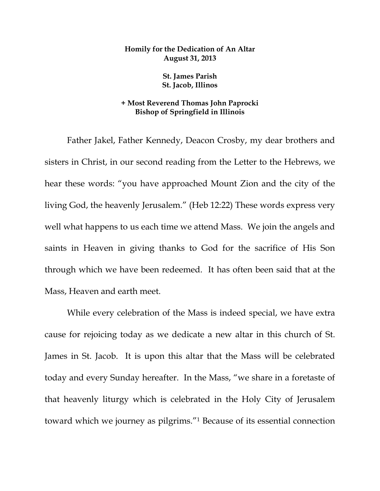## **Homily for the Dedication of An Altar August 31, 2013**

## **St. James Parish St. Jacob, Illinos**

## **+ Most Reverend Thomas John Paprocki Bishop of Springfield in Illinois**

 Father Jakel, Father Kennedy, Deacon Crosby, my dear brothers and sisters in Christ, in our second reading from the Letter to the Hebrews, we hear these words: "you have approached Mount Zion and the city of the living God, the heavenly Jerusalem." (Heb 12:22) These words express very well what happens to us each time we attend Mass. We join the angels and saints in Heaven in giving thanks to God for the sacrifice of His Son through which we have been redeemed. It has often been said that at the Mass, Heaven and earth meet.

 While every celebration of the Mass is indeed special, we have extra cause for rejoicing today as we dedicate a new altar in this church of St. James in St. Jacob. It is upon this altar that the Mass will be celebrated today and every Sunday hereafter. In the Mass, "we share in a foretaste of that heavenly liturgy which is celebrated in the Holy City of Jerusalem toward which we journey as pilgrims."1 Because of its essential connection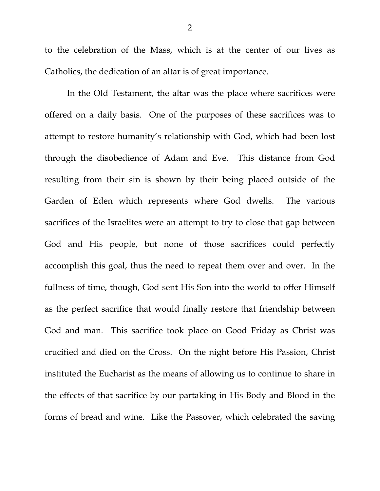to the celebration of the Mass, which is at the center of our lives as Catholics, the dedication of an altar is of great importance.

 In the Old Testament, the altar was the place where sacrifices were offered on a daily basis. One of the purposes of these sacrifices was to attempt to restore humanity's relationship with God, which had been lost through the disobedience of Adam and Eve. This distance from God resulting from their sin is shown by their being placed outside of the Garden of Eden which represents where God dwells. The various sacrifices of the Israelites were an attempt to try to close that gap between God and His people, but none of those sacrifices could perfectly accomplish this goal, thus the need to repeat them over and over. In the fullness of time, though, God sent His Son into the world to offer Himself as the perfect sacrifice that would finally restore that friendship between God and man. This sacrifice took place on Good Friday as Christ was crucified and died on the Cross. On the night before His Passion, Christ instituted the Eucharist as the means of allowing us to continue to share in the effects of that sacrifice by our partaking in His Body and Blood in the forms of bread and wine. Like the Passover, which celebrated the saving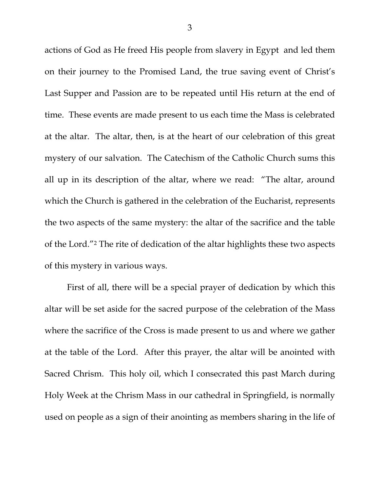actions of God as He freed His people from slavery in Egypt and led them on their journey to the Promised Land, the true saving event of Christ's Last Supper and Passion are to be repeated until His return at the end of time. These events are made present to us each time the Mass is celebrated at the altar. The altar, then, is at the heart of our celebration of this great mystery of our salvation. The Catechism of the Catholic Church sums this all up in its description of the altar, where we read: "The altar, around which the Church is gathered in the celebration of the Eucharist, represents the two aspects of the same mystery: the altar of the sacrifice and the table of the Lord."2 The rite of dedication of the altar highlights these two aspects of this mystery in various ways.

 First of all, there will be a special prayer of dedication by which this altar will be set aside for the sacred purpose of the celebration of the Mass where the sacrifice of the Cross is made present to us and where we gather at the table of the Lord. After this prayer, the altar will be anointed with Sacred Chrism. This holy oil, which I consecrated this past March during Holy Week at the Chrism Mass in our cathedral in Springfield, is normally used on people as a sign of their anointing as members sharing in the life of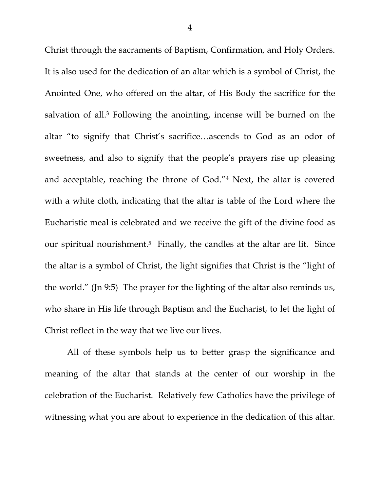Christ through the sacraments of Baptism, Confirmation, and Holy Orders. It is also used for the dedication of an altar which is a symbol of Christ, the Anointed One, who offered on the altar, of His Body the sacrifice for the salvation of all.3 Following the anointing, incense will be burned on the altar "to signify that Christ's sacrifice…ascends to God as an odor of sweetness, and also to signify that the people's prayers rise up pleasing and acceptable, reaching the throne of God."4 Next, the altar is covered with a white cloth, indicating that the altar is table of the Lord where the Eucharistic meal is celebrated and we receive the gift of the divine food as our spiritual nourishment.<sup>5</sup> Finally, the candles at the altar are lit. Since the altar is a symbol of Christ, the light signifies that Christ is the "light of the world." (Jn 9:5) The prayer for the lighting of the altar also reminds us, who share in His life through Baptism and the Eucharist, to let the light of Christ reflect in the way that we live our lives.

 All of these symbols help us to better grasp the significance and meaning of the altar that stands at the center of our worship in the celebration of the Eucharist. Relatively few Catholics have the privilege of witnessing what you are about to experience in the dedication of this altar.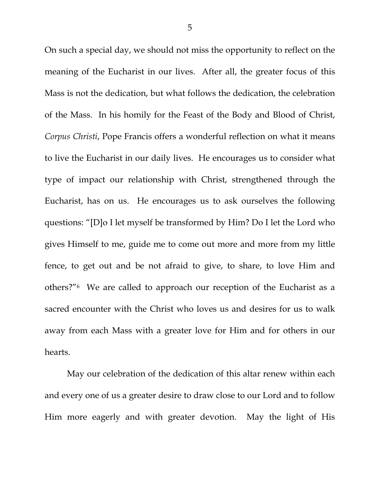On such a special day, we should not miss the opportunity to reflect on the meaning of the Eucharist in our lives. After all, the greater focus of this Mass is not the dedication, but what follows the dedication, the celebration of the Mass. In his homily for the Feast of the Body and Blood of Christ, *Corpus Christi*, Pope Francis offers a wonderful reflection on what it means to live the Eucharist in our daily lives. He encourages us to consider what type of impact our relationship with Christ, strengthened through the Eucharist, has on us. He encourages us to ask ourselves the following questions: "[D]o I let myself be transformed by Him? Do I let the Lord who gives Himself to me, guide me to come out more and more from my little fence, to get out and be not afraid to give, to share, to love Him and others?"6 We are called to approach our reception of the Eucharist as a sacred encounter with the Christ who loves us and desires for us to walk away from each Mass with a greater love for Him and for others in our hearts.

 May our celebration of the dedication of this altar renew within each and every one of us a greater desire to draw close to our Lord and to follow Him more eagerly and with greater devotion. May the light of His